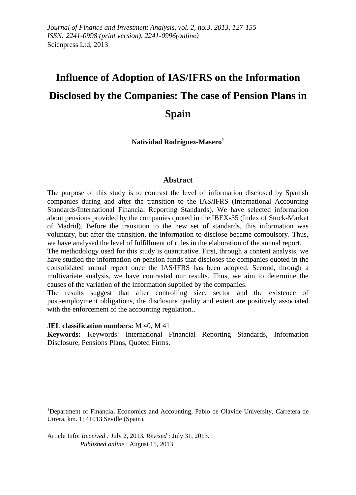# **Influence of Adoption of IAS/IFRS on the Information Disclosed by the Companies: The case of Pension Plans in Spain**

#### **Natividad Rodríguez-Masero<sup>1</sup>**

#### **Abstract**

The purpose of this study is to contrast the level of information disclosed by Spanish companies during and after the transition to the IAS/IFRS (International Accounting Standards/International Financial Reporting Standards). We have selected information about pensions provided by the companies quoted in the IBEX-35 (Index of Stock-Market of Madrid). Before the transition to the new set of standards, this information was voluntary, but after the transition, the information to disclose became compulsory. Thus, we have analysed the level of fulfillment of rules in the elaboration of the annual report.

The methodology used for this study is quantitative. First, through a content analysis, we have studied the information on pension funds that discloses the companies quoted in the consolidated annual report once the IAS/IFRS has been adopted. Second, through a multivariate analysis, we have contrasted our results. Thus, we aim to determine the causes of the variation of the information supplied by the companies.

The results suggest that after controlling size, sector and the existence of post-employment obligations, the disclosure quality and extent are positively associated with the enforcement of the accounting regulation..

#### **JEL classification numbers:** M 40, M 41

1

**Keywords:** Keywords: International Financial Reporting Standards, Information Disclosure, Pensions Plans, Quoted Firms.

<sup>1</sup>Department of Financial Economics and Accounting, Pablo de Olavide University, Carretera de Utrera, km. 1; 41013 Seville (Spain).

Article Info: *Received :* July 2, 2013*. Revised :* July 31, 2013.  *Published online* : August 15, 2013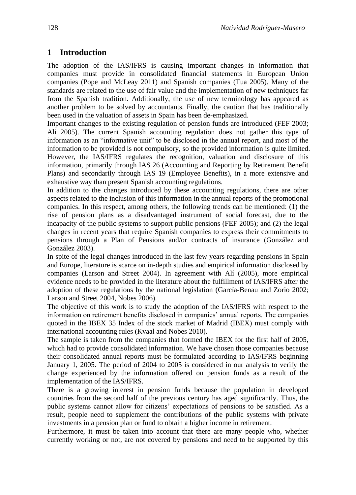# **1 Introduction**

The adoption of the IAS/IFRS is causing important changes in information that companies must provide in consolidated financial statements in European Union companies (Pope and McLeay 2011) and Spanish companies (Tua 2005). Many of the standards are related to the use of fair value and the implementation of new techniques far from the Spanish tradition. Additionally, the use of new terminology has appeared as another problem to be solved by accountants. Finally, the caution that has traditionally been used in the valuation of assets in Spain has been de-emphasized.

Important changes to the existing regulation of pension funds are introduced (FEF 2003; Ali 2005). The current Spanish accounting regulation does not gather this type of information as an "informative unit" to be disclosed in the annual report, and most of the information to be provided is not compulsory, so the provided information is quite limited. However, the IAS/IFRS regulates the recognition, valuation and disclosure of this information, primarily through IAS 26 (Accounting and Reporting by Retirement Benefit Plans) and secondarily through IAS 19 (Employee Benefits), in a more extensive and exhaustive way than present Spanish accounting regulations.

In addition to the changes introduced by these accounting regulations, there are other aspects related to the inclusion of this information in the annual reports of the promotional companies. In this respect, among others, the following trends can be mentioned: (1) the rise of pension plans as a disadvantaged instrument of social forecast, due to the incapacity of the public systems to support public pensions (FEF 2005); and (2) the legal changes in recent years that require Spanish companies to express their commitments to pensions through a Plan of Pensions and/or contracts of insurance (González and González 2003).

In spite of the legal changes introduced in the last few years regarding pensions in Spain and Europe, literature is scarce on in-depth studies and empirical information disclosed by companies (Larson and Street 2004). In agreement with Alí (2005), more empirical evidence needs to be provided in the literature about the fulfillment of IAS/IFRS after the adoption of these regulations by the national legislation (García-Benau and Zorio 2002; Larson and Street 2004, Nobes 2006).

The objective of this work is to study the adoption of the IAS/IFRS with respect to the information on retirement benefits disclosed in companies' annual reports. The companies quoted in the IBEX 35 Index of the stock market of Madrid (IBEX) must comply with international accounting rules (Kvaal and Nobes 2010).

The sample is taken from the companies that formed the IBEX for the first half of 2005, which had to provide consolidated information. We have chosen those companies because their consolidated annual reports must be formulated according to IAS/IFRS beginning January 1, 2005. The period of 2004 to 2005 is considered in our analysis to verify the change experienced by the information offered on pension funds as a result of the implementation of the IAS/IFRS.

There is a growing interest in pension funds because the population in developed countries from the second half of the previous century has aged significantly. Thus, the public systems cannot allow for citizens' expectations of pensions to be satisfied. As a result, people need to supplement the contributions of the public systems with private investments in a pension plan or fund to obtain a higher income in retirement.

Furthermore, it must be taken into account that there are many people who, whether currently working or not, are not covered by pensions and need to be supported by this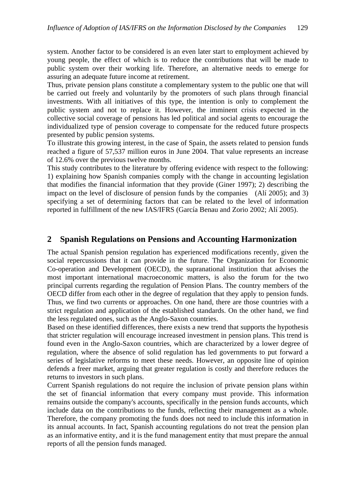system. Another factor to be considered is an even later start to employment achieved by young people, the effect of which is to reduce the contributions that will be made to public system over their working life. Therefore, an alternative needs to emerge for assuring an adequate future income at retirement.

Thus, private pension plans constitute a complementary system to the public one that will be carried out freely and voluntarily by the promoters of such plans through financial investments. With all initiatives of this type, the intention is only to complement the public system and not to replace it. However, the imminent crisis expected in the collective social coverage of pensions has led political and social agents to encourage the individualized type of pension coverage to compensate for the reduced future prospects presented by public pension systems.

To illustrate this growing interest, in the case of Spain, the assets related to pension funds reached a figure of 57,537 million euros in June 2004. That value represents an increase of 12.6% over the previous twelve months.

This study contributes to the literature by offering evidence with respect to the following: 1) explaining how Spanish companies comply with the change in accounting legislation that modifies the financial information that they provide (Giner 1997); 2) describing the impact on the level of disclosure of pension funds by the companies (Alí 2005); and 3) specifying a set of determining factors that can be related to the level of information reported in fulfillment of the new IAS/IFRS (García Benau and Zorio 2002; Alí 2005).

# **2 Spanish Regulations on Pensions and Accounting Harmonization**

The actual Spanish pension regulation has experienced modifications recently, given the social repercussions that it can provide in the future. The Organization for Economic Co-operation and Development (OECD), the supranational institution that advises the most important international macroeconomic matters, is also the forum for the two principal currents regarding the regulation of Pension Plans. The country members of the OECD differ from each other in the degree of regulation that they apply to pension funds. Thus, we find two currents or approaches. On one hand, there are those countries with a strict regulation and application of the established standards. On the other hand, we find the less regulated ones, such as the Anglo-Saxon countries.

Based on these identified differences, there exists a new trend that supports the hypothesis that stricter regulation will encourage increased investment in pension plans. This trend is found even in the Anglo-Saxon countries, which are characterized by a lower degree of regulation, where the absence of solid regulation has led governments to put forward a series of legislative reforms to meet these needs. However, an opposite line of opinion defends a freer market, arguing that greater regulation is costly and therefore reduces the returns to investors in such plans.

Current Spanish regulations do not require the inclusion of private pension plans within the set of financial information that every company must provide. This information remains outside the company's accounts, specifically in the pension funds accounts, which include data on the contributions to the funds, reflecting their management as a whole. Therefore, the company promoting the funds does not need to include this information in its annual accounts. In fact, Spanish accounting regulations do not treat the pension plan as an informative entity, and it is the fund management entity that must prepare the annual reports of all the pension funds managed.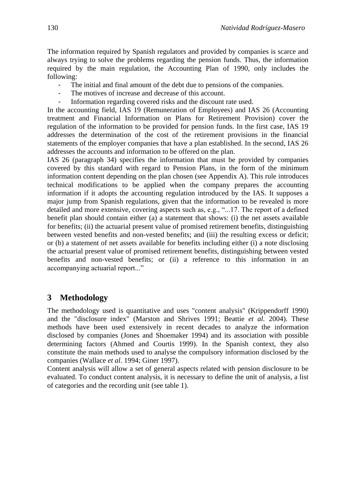The information required by Spanish regulators and provided by companies is scarce and always trying to solve the problems regarding the pension funds. Thus, the information required by the main regulation, the Accounting Plan of 1990, only includes the following:

- The initial and final amount of the debt due to pensions of the companies.
- The motives of increase and decrease of this account.
- Information regarding covered risks and the discount rate used.

In the accounting field, IAS 19 (Remuneration of Employees) and IAS 26 (Accounting treatment and Financial Information on Plans for Retirement Provision) cover the regulation of the information to be provided for pension funds. In the first case, IAS 19 addresses the determination of the cost of the retirement provisions in the financial statements of the employer companies that have a plan established. In the second, IAS 26 addresses the accounts and information to be offered on the plan.

IAS 26 (paragraph 34) specifies the information that must be provided by companies covered by this standard with regard to Pension Plans, in the form of the minimum information content depending on the plan chosen (see Appendix A). This rule introduces technical modifications to be applied when the company prepares the accounting information if it adopts the accounting regulation introduced by the IAS. It supposes a major jump from Spanish regulations, given that the information to be revealed is more detailed and more extensive, covering aspects such as, e.g., "...17. The report of a defined benefit plan should contain either (a) a statement that shows: (i) the net assets available for benefits; (ii) the actuarial present value of promised retirement benefits, distinguishing between vested benefits and non-vested benefits; and (iii) the resulting excess or deficit; or (b) a statement of net assets available for benefits including either (i) a note disclosing the actuarial present value of promised retirement benefits, distinguishing between vested benefits and non-vested benefits; or (ii) a reference to this information in an accompanying actuarial report..."

# **3 Methodology**

The methodology used is quantitative and uses "content analysis" (Krippendorff 1990) and the "disclosure index" (Marston and Shrives 1991; Beattie *et al.* 2004). These methods have been used extensively in recent decades to analyze the information disclosed by companies (Jones and Shoemaker 1994) and its association with possible determining factors (Ahmed and Courtis 1999). In the Spanish context, they also constitute the main methods used to analyse the compulsory information disclosed by the companies (Wallace *et al*. 1994; Giner 1997).

Content analysis will allow a set of general aspects related with pension disclosure to be evaluated. To conduct content analysis, it is necessary to define the unit of analysis, a list of categories and the recording unit (see table 1).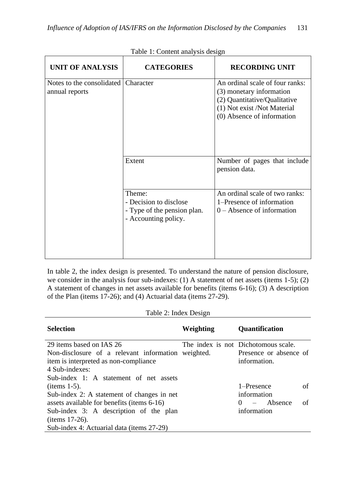| <b>UNIT OF ANALYSIS</b>                     | <b>CATEGORIES</b>                                                                       | <b>RECORDING UNIT</b>                                                                                                                                     |
|---------------------------------------------|-----------------------------------------------------------------------------------------|-----------------------------------------------------------------------------------------------------------------------------------------------------------|
| Notes to the consolidated<br>annual reports | Character                                                                               | An ordinal scale of four ranks:<br>(3) monetary information<br>(2) Quantitative/Qualitative<br>(1) Not exist / Not Material<br>(0) Absence of information |
|                                             | Extent                                                                                  | Number of pages that include<br>pension data.                                                                                                             |
|                                             | Theme:<br>- Decision to disclose<br>- Type of the pension plan.<br>- Accounting policy. | An ordinal scale of two ranks:<br>1–Presence of information<br>$0 -$ Absence of information                                                               |

Table 1: Content analysis design

#### Table 2: Index Design

| <b>Selection</b>                                                                     | Weighting | Quantification                                                |    |
|--------------------------------------------------------------------------------------|-----------|---------------------------------------------------------------|----|
| 29 items based on IAS 26<br>Non-disclosure of a relevant information weighted.       |           | The index is not Dichotomous scale.<br>Presence or absence of |    |
| item is interpreted as non-compliance<br>4 Sub-indexes:                              |           | information.                                                  |    |
| Sub-index 1: A statement of net assets                                               |           |                                                               |    |
| (items $1-5$ ).<br>Sub-index 2: A statement of changes in net                        |           | 1–Presence<br>information                                     | of |
| assets available for benefits (items 6-16)<br>Sub-index 3: A description of the plan |           | $-$ Absence<br>$\theta$<br>information                        | of |
| (items $17-26$ ).                                                                    |           |                                                               |    |
| Sub-index 4: Actuarial data (items 27-29)                                            |           |                                                               |    |

In table 2, the index design is presented. To understand the nature of pension disclosure, we consider in the analysis four sub-indexes: (1) A statement of net assets (items 1-5); (2) A statement of changes in net assets available for benefits (items 6-16); (3) A description of the Plan (items 17-26); and (4) Actuarial data (items 27-29).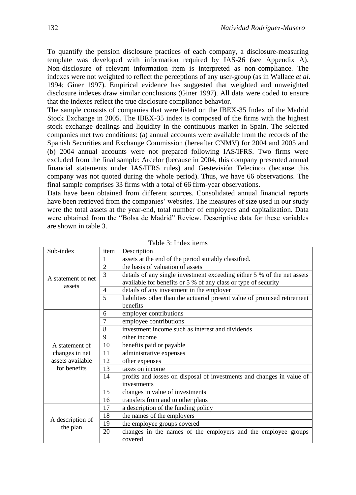To quantify the pension disclosure practices of each company, a disclosure-measuring template was developed with information required by IAS-26 (see Appendix A). Non-disclosure of relevant information item is interpreted as non-compliance. The indexes were not weighted to reflect the perceptions of any user-group (as in Wallace *et al*. 1994; Giner 1997). Empirical evidence has suggested that weighted and unweighted disclosure indexes draw similar conclusions (Giner 1997). All data were coded to ensure that the indexes reflect the true disclosure compliance behavior.

The sample consists of companies that were listed on the IBEX-35 Index of the Madrid Stock Exchange in 2005. The IBEX-35 index is composed of the firms with the highest stock exchange dealings and liquidity in the continuous market in Spain. The selected companies met two conditions: (a) annual accounts were available from the records of the Spanish Securities and Exchange Commission (hereafter CNMV) for 2004 and 2005 and (b) 2004 annual accounts were not prepared following IAS/IFRS. Two firms were excluded from the final sample: Arcelor (because in 2004, this company presented annual financial statements under IAS/IFRS rules) and Gestevisión Telecinco (because this company was not quoted during the whole period). Thus, we have 66 observations. The final sample comprises 33 firms with a total of 66 firm-year observations.

Data have been obtained from different sources. Consolidated annual financial reports have been retrieved from the companies' websites. The measures of size used in our study were the total assets at the year-end, total number of employees and capitalization. Data were obtained from the "Bolsa de Madrid" Review. Descriptive data for these variables are shown in table 3.

| Sub-index          | item          | Description                                                               |
|--------------------|---------------|---------------------------------------------------------------------------|
|                    | 1             | assets at the end of the period suitably classified.                      |
|                    | 2             | the basis of valuation of assets                                          |
| A statement of net | $\mathcal{E}$ | details of any single investment exceeding either 5 % of the net assets   |
| assets             |               | available for benefits or 5 % of any class or type of security            |
|                    | 4             | details of any investment in the employer                                 |
|                    | 5             | liabilities other than the actuarial present value of promised retirement |
|                    |               | henefits                                                                  |
|                    | 6             | employer contributions                                                    |
|                    | 7             | employee contributions                                                    |
|                    | 8             | investment income such as interest and dividends                          |
|                    | 9             | other income                                                              |
| A statement of     | 10            | benefits paid or payable                                                  |
| changes in net     | 11            | administrative expenses                                                   |
| assets available   | 12            | other expenses                                                            |
| for benefits       | 13            | taxes on income                                                           |
|                    | 14            | profits and losses on disposal of investments and changes in value of     |
|                    |               | investments                                                               |
|                    | 15            | changes in value of investments                                           |
|                    | 16            | transfers from and to other plans                                         |
|                    | 17            | a description of the funding policy                                       |
| A description of   | 18            | the names of the employers                                                |
| the plan           | 19            | the employee groups covered                                               |
|                    | 20            | changes in the names of the employers and the employee groups             |
|                    |               | covered                                                                   |

Table 3: Index items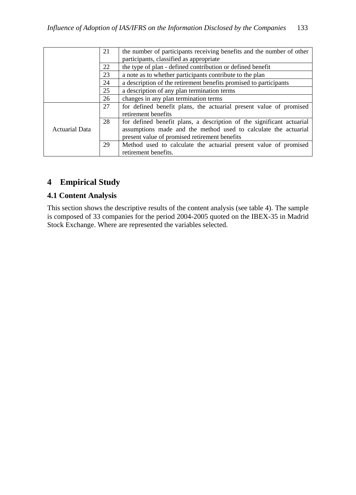|                                                                         | 21                                                               | the number of participants receiving benefits and the number of other<br>participants, classified as appropriate                                                                          |  |
|-------------------------------------------------------------------------|------------------------------------------------------------------|-------------------------------------------------------------------------------------------------------------------------------------------------------------------------------------------|--|
|                                                                         | 22<br>the type of plan - defined contribution or defined benefit |                                                                                                                                                                                           |  |
| a note as to whether participants contribute to the plan<br>23          |                                                                  |                                                                                                                                                                                           |  |
| 24<br>a description of the retirement benefits promised to participants |                                                                  |                                                                                                                                                                                           |  |
| 25<br>a description of any plan termination terms                       |                                                                  |                                                                                                                                                                                           |  |
|                                                                         | 26                                                               | changes in any plan termination terms                                                                                                                                                     |  |
|                                                                         | 27                                                               | for defined benefit plans, the actuarial present value of promised<br>retirement benefits                                                                                                 |  |
| Actuarial Data                                                          | 28                                                               | for defined benefit plans, a description of the significant actuarial<br>assumptions made and the method used to calculate the actuarial<br>present value of promised retirement benefits |  |
|                                                                         | 29                                                               | Method used to calculate the actuarial present value of promised<br>retirement benefits.                                                                                                  |  |

# **4 Empirical Study**

## **4.1 Content Analysis**

This section shows the descriptive results of the content analysis (see table 4). The sample is composed of 33 companies for the period 2004-2005 quoted on the IBEX-35 in Madrid Stock Exchange. Where are represented the variables selected.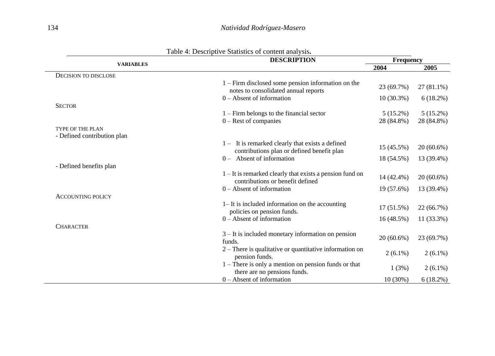# 134 *Natividad Rodríguez-Masero*

|                             | <b>DESCRIPTION</b>                                                                               | Frequency    |              |
|-----------------------------|--------------------------------------------------------------------------------------------------|--------------|--------------|
| <b>VARIABLES</b>            |                                                                                                  | 2004         | 2005         |
| <b>DECISION TO DISCLOSE</b> |                                                                                                  |              |              |
|                             | 1 – Firm disclosed some pension information on the<br>notes to consolidated annual reports       | 23 (69.7%)   | $27(81.1\%)$ |
|                             | $0 -$ Absent of information                                                                      | $10(30.3\%)$ | 6(18.2%)     |
| <b>SECTOR</b>               |                                                                                                  |              |              |
|                             | $1 -$ Firm belongs to the financial sector                                                       | $5(15.2\%)$  | $5(15.2\%)$  |
|                             | $0 -$ Rest of companies                                                                          | 28 (84.8%)   | 28 (84.8%)   |
| <b>TYPE OF THE PLAN</b>     |                                                                                                  |              |              |
| - Defined contribution plan |                                                                                                  |              |              |
|                             | $1 -$ It is remarked clearly that exists a defined<br>contributions plan or defined benefit plan | 15 (45.5%)   | $20(60.6\%)$ |
|                             | $0 -$ Absent of information                                                                      | 18 (54.5%)   | 13 (39.4%)   |
| - Defined benefits plan     |                                                                                                  |              |              |
|                             | $1 - It$ is remarked clearly that exists a pension fund on<br>contributions or benefit defined   | 14 (42.4%)   | $20(60.6\%)$ |
|                             | $0 -$ Absent of information                                                                      | 19 (57.6%)   | 13 (39.4%)   |
| <b>ACCOUNTING POLICY</b>    |                                                                                                  |              |              |
|                             | 1– It is included information on the accounting<br>policies on pension funds.                    | $17(51.5\%)$ | 22 (66.7%)   |
|                             | $0 -$ Absent of information                                                                      | 16 (48.5%)   | $11(33.3\%)$ |
| <b>CHARACTER</b>            |                                                                                                  |              |              |
|                             | $3 - It$ is included monetary information on pension<br>funds.                                   | $20(60.6\%)$ | 23 (69.7%)   |
|                             | $2$ – There is qualitative or quantitative information on<br>pension funds.                      | $2(6.1\%)$   | $2(6.1\%)$   |
|                             | $1 -$ There is only a mention on pension funds or that<br>there are no pensions funds.           | 1(3%)        | $2(6.1\%)$   |
|                             | $0 -$ Absent of information                                                                      | $10(30\%)$   | $6(18.2\%)$  |

Table 4: Descriptive Statistics of content analysis**.**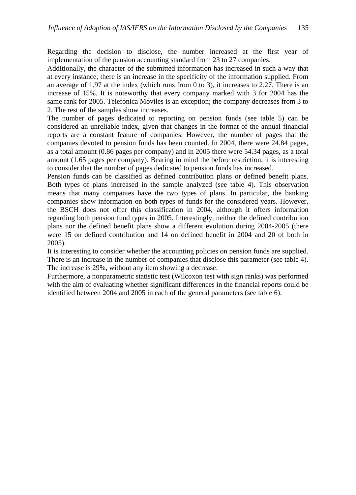Regarding the decision to disclose, the number increased at the first year of implementation of the pension accounting standard from 23 to 27 companies.

Additionally, the character of the submitted information has increased in such a way that at every instance, there is an increase in the specificity of the information supplied. From an average of 1.97 at the index (which runs from 0 to 3), it increases to 2.27. There is an increase of 15%. It is noteworthy that every company marked with 3 for 2004 has the same rank for 2005. Telefónica Móviles is an exception; the company decreases from 3 to 2. The rest of the samples show increases.

The number of pages dedicated to reporting on pension funds (see table 5) can be considered an unreliable index, given that changes in the format of the annual financial reports are a constant feature of companies. However, the number of pages that the companies devoted to pension funds has been counted. In 2004, there were 24.84 pages, as a total amount (0.86 pages per company) and in 2005 there were 54.34 pages, as a total amount (1.65 pages per company). Bearing in mind the before restriction, it is interesting to consider that the number of pages dedicated to pension funds has increased.

Pension funds can be classified as defined contribution plans or defined benefit plans. Both types of plans increased in the sample analyzed (see table 4). This observation means that many companies have the two types of plans. In particular, the banking companies show information on both types of funds for the considered years. However, the BSCH does not offer this classification in 2004, although it offers information regarding both pension fund types in 2005. Interestingly, neither the defined contribution plans nor the defined benefit plans show a different evolution during 2004-2005 (there were 15 on defined contribution and 14 on defined benefit in 2004 and 20 of both in 2005).

It is interesting to consider whether the accounting policies on pension funds are supplied. There is an increase in the number of companies that disclose this parameter (see table 4). The increase is 29%, without any item showing a decrease.

Furthermore, a nonparametric statistic test (Wilcoxon test with sign ranks) was performed with the aim of evaluating whether significant differences in the financial reports could be identified between 2004 and 2005 in each of the general parameters (see table 6).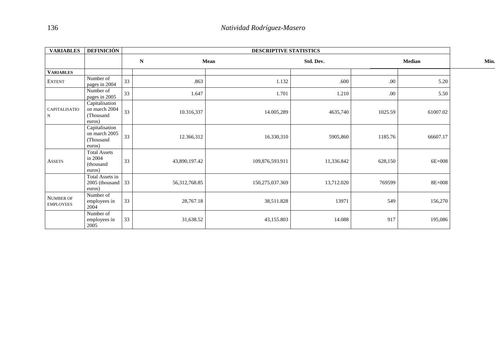| <b>VARIABLES</b>                     | <b>DEFINICIÓN</b>                                      | DESCRIPTIVE STATISTICS |                 |                 |            |         |               |      |
|--------------------------------------|--------------------------------------------------------|------------------------|-----------------|-----------------|------------|---------|---------------|------|
|                                      |                                                        |                        | ${\bf N}$       | Mean            | Std. Dev.  |         | <b>Median</b> | Min. |
| <b>VARIABLES</b>                     |                                                        |                        |                 |                 |            |         |               |      |
| <b>EXTENT</b>                        | Number of<br>pages in 2004                             | 33                     | .863            | 1.132           | .600       | .00     | 5.20          |      |
|                                      | Number of<br>pages in 2005                             | 33                     | 1.647           | 1.701           | 1.210      | .00     | 5.50          |      |
| <b>CAPITALISATIO</b><br>$\mathbf N$  | Capitalisation<br>on march 2004<br>(Thousand<br>euros) | 33                     | 10.316,337      | 14.005,289      | 4635,740   | 1025.59 | 61007.02      |      |
|                                      | Capitalisation<br>on march 2005<br>(Thousand<br>euros) | 33                     | 12.366,312      | 16.330,310      | 5905,860   | 1185.76 | 66607.17      |      |
| <b>ASSETS</b>                        | <b>Total Assets</b><br>in 2004<br>(thousand<br>euros)  | 33                     | 43,890,197.42   | 109,876,593.911 | 11,336.842 | 628,150 | 6E+008        |      |
|                                      | Total Assets in<br>$2005$ (thousand 33<br>euros)       |                        | 56, 312, 768.85 | 150,275,037.369 | 13,712.020 | 769599  | 8E+008        |      |
| <b>NUMBER OF</b><br><b>EMPLOYEES</b> | Number of<br>employees in<br>2004                      | 33                     | 28,767.18       | 38,511.828      | 13971      | 549     | 156,270       |      |
|                                      | Number of<br>employees in<br>2005                      | 33                     | 31,638.52       | 43,155.803      | 14.088     | 917     | 195,086       |      |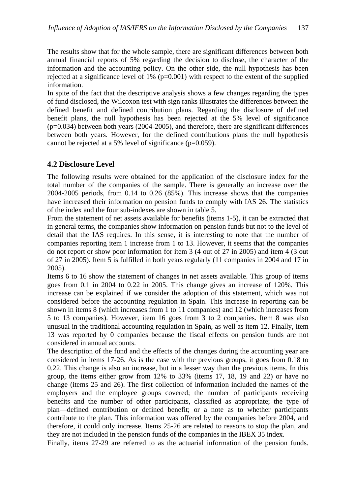The results show that for the whole sample, there are significant differences between both annual financial reports of 5% regarding the decision to disclose, the character of the information and the accounting policy. On the other side, the null hypothesis has been rejected at a significance level of  $1\%$  (p=0.001) with respect to the extent of the supplied information.

In spite of the fact that the descriptive analysis shows a few changes regarding the types of fund disclosed, the Wilcoxon test with sign ranks illustrates the differences between the defined benefit and defined contribution plans. Regarding the disclosure of defined benefit plans, the null hypothesis has been rejected at the 5% level of significance  $(p=0.034)$  between both years (2004-2005), and therefore, there are significant differences between both years. However, for the defined contributions plans the null hypothesis cannot be rejected at a 5% level of significance ( $p=0.059$ ).

## **4.2 Disclosure Level**

The following results were obtained for the application of the disclosure index for the total number of the companies of the sample. There is generally an increase over the 2004-2005 periods, from 0.14 to 0.26 (85%). This increase shows that the companies have increased their information on pension funds to comply with IAS 26. The statistics of the index and the four sub-indexes are shown in table 5.

From the statement of net assets available for benefits (items 1-5), it can be extracted that in general terms, the companies show information on pension funds but not to the level of detail that the IAS requires. In this sense, it is interesting to note that the number of companies reporting item 1 increase from 1 to 13. However, it seems that the companies do not report or show poor information for item 3 (4 out of 27 in 2005) and item 4 (3 out of 27 in 2005). Item 5 is fulfilled in both years regularly (11 companies in 2004 and 17 in 2005).

Items 6 to 16 show the statement of changes in net assets available. This group of items goes from 0.1 in 2004 to 0.22 in 2005. This change gives an increase of 120%. This increase can be explained if we consider the adoption of this statement, which was not considered before the accounting regulation in Spain. This increase in reporting can be shown in items 8 (which increases from 1 to 11 companies) and 12 (which increases from 5 to 13 companies). However, item 16 goes from 3 to 2 companies. Item 8 was also unusual in the traditional accounting regulation in Spain, as well as item 12. Finally, item 13 was reported by 0 companies because the fiscal effects on pension funds are not considered in annual accounts.

The description of the fund and the effects of the changes during the accounting year are considered in items 17-26. As is the case with the previous groups, it goes from 0.18 to 0.22. This change is also an increase, but in a lesser way than the previous items. In this group, the items either grow from 12% to 33% (items 17, 18, 19 and 22) or have no change (items 25 and 26). The first collection of information included the names of the employers and the employee groups covered; the number of participants receiving benefits and the number of other participants, classified as appropriate; the type of plan—defined contribution or defined benefit; or a note as to whether participants contribute to the plan. This information was offered by the companies before 2004, and therefore, it could only increase. Items 25-26 are related to reasons to stop the plan, and they are not included in the pension funds of the companies in the IBEX 35 index.

Finally, items 27-29 are referred to as the actuarial information of the pension funds.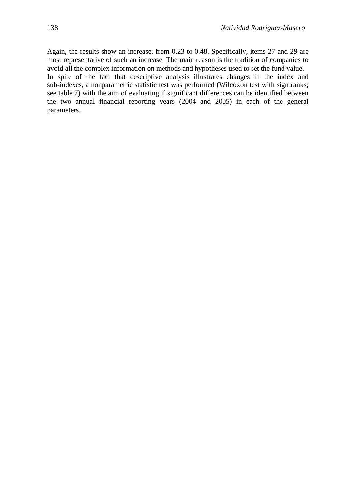Again, the results show an increase, from 0.23 to 0.48. Specifically, items 27 and 29 are most representative of such an increase. The main reason is the tradition of companies to avoid all the complex information on methods and hypotheses used to set the fund value.

In spite of the fact that descriptive analysis illustrates changes in the index and sub-indexes, a nonparametric statistic test was performed (Wilcoxon test with sign ranks; see table 7) with the aim of evaluating if significant differences can be identified between the two annual financial reporting years (2004 and 2005) in each of the general parameters.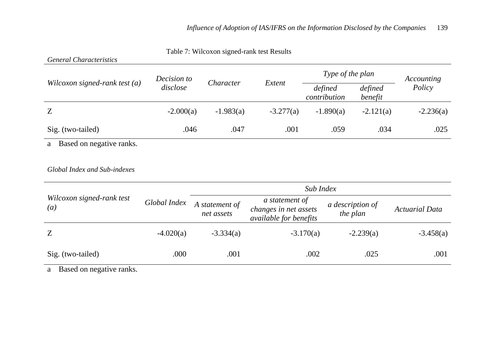| <b>General Characteristics</b>  |             |             |             |                         |                    |             |  |
|---------------------------------|-------------|-------------|-------------|-------------------------|--------------------|-------------|--|
|                                 | Decision to |             |             | Type of the plan        |                    | Accounting  |  |
| Wilcoxon signed-rank test $(a)$ | disclose    | Character   | Extent      | defined<br>contribution | defined<br>benefit | Policy      |  |
| Ζ                               | $-2.000(a)$ | $-1.983(a)$ | $-3.277(a)$ | $-1.890(a)$             | $-2.121(a)$        | $-2.236(a)$ |  |
| Sig. (two-tailed)               | .046        | .047        | .001        | .059                    | .034               | .025        |  |

Table 7: Wilcoxon signed-rank test Results

a Based on negative ranks.

## *Global Index and Sub-indexes*

|                                               |              | Sub Index                    |                                                                          |                                     |                       |  |
|-----------------------------------------------|--------------|------------------------------|--------------------------------------------------------------------------|-------------------------------------|-----------------------|--|
| Wilcoxon signed-rank test<br>$\left(a\right)$ | Global Index | A statement of<br>net assets | a statement of<br>changes in net assets<br><i>available for benefits</i> | <i>a description of</i><br>the plan | <b>Actuarial Data</b> |  |
| Z                                             | $-4.020(a)$  | $-3.334(a)$                  | $-3.170(a)$                                                              | $-2.239(a)$                         | $-3.458(a)$           |  |
| Sig. (two-tailed)                             | .000         | .001                         | .002                                                                     | .025                                | .001                  |  |

a Based on negative ranks.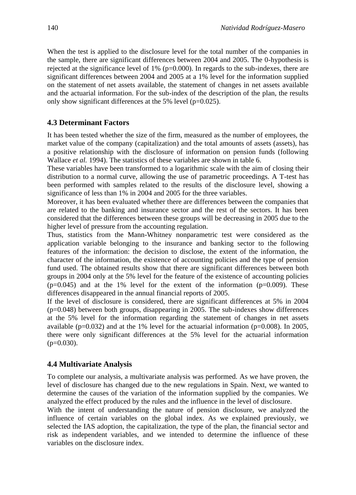When the test is applied to the disclosure level for the total number of the companies in the sample, there are significant differences between 2004 and 2005. The 0-hypothesis is rejected at the significance level of  $1\%$  (p=0.000). In regards to the sub-indexes, there are significant differences between 2004 and 2005 at a 1% level for the information supplied on the statement of net assets available, the statement of changes in net assets available and the actuarial information. For the sub-index of the description of the plan, the results only show significant differences at the 5% level ( $p=0.025$ ).

#### **4.3 Determinant Factors**

It has been tested whether the size of the firm, measured as the number of employees, the market value of the company (capitalization) and the total amounts of assets (assets), has a positive relationship with the disclosure of information on pension funds (following Wallace *et al.* 1994). The statistics of these variables are shown in table 6.

These variables have been transformed to a logarithmic scale with the aim of closing their distribution to a normal curve, allowing the use of parametric proceedings. A T-test has been performed with samples related to the results of the disclosure level, showing a significance of less than 1% in 2004 and 2005 for the three variables.

Moreover, it has been evaluated whether there are differences between the companies that are related to the banking and insurance sector and the rest of the sectors. It has been considered that the differences between these groups will be decreasing in 2005 due to the higher level of pressure from the accounting regulation.

Thus, statistics from the Mann-Whitney nonparametric test were considered as the application variable belonging to the insurance and banking sector to the following features of the information: the decision to disclose, the extent of the information, the character of the information, the existence of accounting policies and the type of pension fund used. The obtained results show that there are significant differences between both groups in 2004 only at the 5% level for the feature of the existence of accounting policies  $(p=0.045)$  and at the 1% level for the extent of the information  $(p=0.009)$ . These differences disappeared in the annual financial reports of 2005.

If the level of disclosure is considered, there are significant differences at 5% in 2004 (p=0.048) between both groups, disappearing in 2005. The sub-indexes show differences at the 5% level for the information regarding the statement of changes in net assets available ( $p=0.032$ ) and at the 1% level for the actuarial information ( $p=0.008$ ). In 2005, there were only significant differences at the 5% level for the actuarial information  $(p=0.030)$ .

#### **4.4 Multivariate Analysis**

To complete our analysis, a multivariate analysis was performed. As we have proven, the level of disclosure has changed due to the new regulations in Spain. Next, we wanted to determine the causes of the variation of the information supplied by the companies. We analyzed the effect produced by the rules and the influence in the level of disclosure.

With the intent of understanding the nature of pension disclosure, we analyzed the influence of certain variables on the global index. As we explained previously, we selected the IAS adoption, the capitalization, the type of the plan, the financial sector and risk as independent variables, and we intended to determine the influence of these variables on the disclosure index.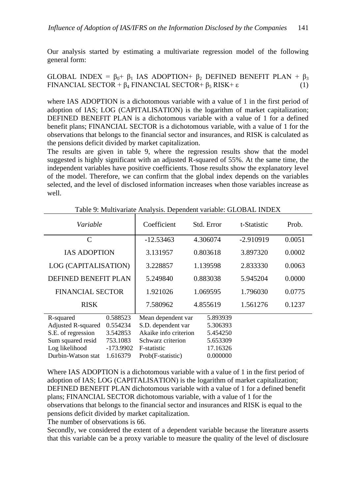Our analysis started by estimating a multivariate regression model of the following general form:

GLOBAL INDEX =  $\beta_0$ +  $\beta_1$  IAS ADOPTION+  $\beta_2$  DEFINED BENEFIT PLAN +  $\beta_3$ FINANCIAL SECTOR +  $\beta_4$  FINANCIAL SECTOR +  $\beta_5$  RISK +  $\varepsilon$  (1)

where IAS ADOPTION is a dichotomous variable with a value of 1 in the first period of adoption of IAS; LOG (CAPITALISATION) is the logarithm of market capitalization; DEFINED BENEFIT PLAN is a dichotomous variable with a value of 1 for a defined benefit plans; FINANCIAL SECTOR is a dichotomous variable, with a value of 1 for the observations that belongs to the financial sector and insurances, and RISK is calculated as the pensions deficit divided by market capitalization.

The results are given in table 9, where the regression results show that the model suggested is highly significant with an adjusted R-squared of 55%. At the same time, the independent variables have positive coefficients. Those results show the explanatory level of the model. Therefore, we can confirm that the global index depends on the variables selected, and the level of disclosed information increases when those variables increase as well.

| Variable                |             | Coefficient           | Std. Error | t-Statistic | Prob.  |
|-------------------------|-------------|-----------------------|------------|-------------|--------|
| $\mathcal{C}$           |             | $-12.53463$           | 4.306074   | $-2.910919$ | 0.0051 |
| <b>IAS ADOPTION</b>     |             | 3.131957              | 0.803618   | 3.897320    | 0.0002 |
| LOG (CAPITALISATION)    |             | 3.228857              | 1.139598   | 2.833330    | 0.0063 |
| DEFINED BENEFIT PLAN    |             | 5.249840              | 0.883038   | 5.945204    | 0.0000 |
| <b>FINANCIAL SECTOR</b> |             | 1.921026              | 1.069595   | 1.796030    | 0.0775 |
| <b>RISK</b>             |             | 7.580962              | 4.855619   | 1.561276    | 0.1237 |
| R-squared               | 0.588523    | Mean dependent var    | 5.893939   |             |        |
| Adjusted R-squared      | 0.554234    | S.D. dependent var    | 5.306393   |             |        |
| S.E. of regression      | 3.542853    | Akaike info criterion | 5.454250   |             |        |
| Sum squared resid       | 753.1083    | Schwarz criterion     | 5.653309   |             |        |
| Log likelihood          | $-173.9902$ | F-statistic           | 17.16326   |             |        |
| Durbin-Watson stat      | 1.616379    | Prob(F-statistic)     | 0.000000   |             |        |

Table 9: Multivariate Analysis. Dependent variable: GLOBAL INDEX

Where IAS ADOPTION is a dichotomous variable with a value of 1 in the first period of adoption of IAS; LOG (CAPITALISATION) is the logarithm of market capitalization; DEFINED BENEFIT PLAN dichotomous variable with a value of 1 for a defined benefit plans; FINANCIAL SECTOR dichotomous variable, with a value of 1 for the observations that belongs to the financial sector and insurances and RISK is equal to the pensions deficit divided by market capitalization.

The number of observations is 66.

Secondly, we considered the extent of a dependent variable because the literature asserts that this variable can be a proxy variable to measure the quality of the level of disclosure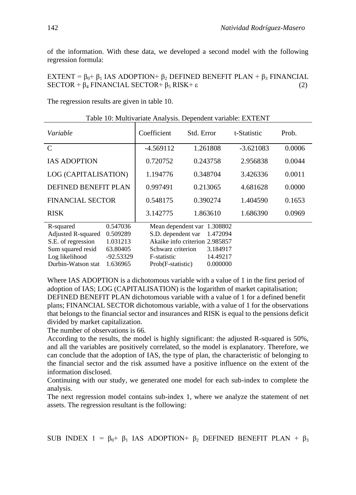of the information. With these data, we developed a second model with the following regression formula:

#### EXTENT =  $\beta_0$ +  $\beta_1$  IAS ADOPTION+  $\beta_2$  DEFINED BENEFIT PLAN +  $\beta_3$  FINANCIAL SECTOR +  $\beta_4$  FINANCIAL SECTOR +  $\beta_5$  RISK +  $\varepsilon$  (2)

The regression results are given in table 10.

| Table To, intuitivaliate Aliatysis. Dependent variable. EXXIENTI |           |                    |                                |             |        |
|------------------------------------------------------------------|-----------|--------------------|--------------------------------|-------------|--------|
| Variable                                                         |           | Coefficient        | Std. Error                     | t-Statistic | Prob.  |
| $\mathcal{C}$                                                    |           | $-4.569112$        | 1.261808                       | $-3.621083$ | 0.0006 |
| <b>IAS ADOPTION</b>                                              |           | 0.720752           | 0.243758                       | 2.956838    | 0.0044 |
| LOG (CAPITALISATION)                                             |           | 1.194776           | 0.348704                       | 3.426336    | 0.0011 |
| <b>DEFINED BENEFIT PLAN</b>                                      |           | 0.997491           | 0.213065                       | 4.681628    | 0.0000 |
| <b>FINANCIAL SECTOR</b>                                          |           | 0.548175           | 0.390274                       | 1.404590    | 0.1653 |
| <b>RISK</b>                                                      |           | 3.142775           | 1.863610                       | 1.686390    | 0.0969 |
| R-squared                                                        | 0.547036  |                    | Mean dependent var 1.308802    |             |        |
| Adjusted R-squared                                               | 0.509289  | S.D. dependent var | 1.472094                       |             |        |
| S.E. of regression                                               | 1.031213  |                    | Akaike info criterion 2.985857 |             |        |
| Sum squared resid                                                | 63.80405  | Schwarz criterion  | 3.184917                       |             |        |
| Log likelihood                                                   | -92.53329 | F-statistic        | 14.49217                       |             |        |
| Durbin-Watson stat                                               | 1.636965  | Prob(F-statistic)  | 0.000000                       |             |        |

Table 10: Multivariate Analysis. Dependent variable: EXTENT

Where IAS ADOPTION is a dichotomous variable with a value of 1 in the first period of adoption of IAS; LOG (CAPITALISATION) is the logarithm of market capitalisation; DEFINED BENEFIT PLAN dichotomous variable with a value of 1 for a defined benefit plans; FINANCIAL SECTOR dichotomous variable, with a value of 1 for the observations that belongs to the financial sector and insurances and RISK is equal to the pensions deficit divided by market capitalization.

The number of observations is 66.

According to the results, the model is highly significant: the adjusted R-squared is 50%, and all the variables are positively correlated, so the model is explanatory. Therefore, we can conclude that the adoption of IAS, the type of plan, the characteristic of belonging to the financial sector and the risk assumed have a positive influence on the extent of the information disclosed.

Continuing with our study, we generated one model for each sub-index to complete the analysis.

The next regression model contains sub-index 1, where we analyze the statement of net assets. The regression resultant is the following:

SUB INDEX 1 =  $\beta_0$ +  $\beta_1$  IAS ADOPTION+  $\beta_2$  DEFINED BENEFIT PLAN +  $\beta_3$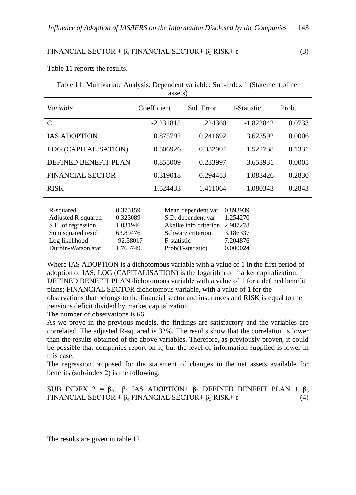FINANCIAL SECTOR +  $\beta_4$  FINANCIAL SECTOR +  $\beta_5$  RISK +  $\varepsilon$  (3)

Table 11 reports the results.

|                                                         | assuts i    |                                          |                      |        |
|---------------------------------------------------------|-------------|------------------------------------------|----------------------|--------|
| Variable                                                | Coefficient | Std. Error                               | t-Statistic          | Prob.  |
| $\mathcal{C}$                                           | $-2.231815$ | 1.224360                                 | $-1.822842$          | 0.0733 |
| <b>IAS ADOPTION</b>                                     | 0.875792    | 0.241692                                 | 3.623592             | 0.0006 |
| LOG (CAPITALISATION)                                    | 0.506926    | 0.332904                                 | 1.522738             | 0.1331 |
| DEFINED BENEFIT PLAN                                    | 0.855009    | 0.233997                                 | 3.653931             | 0.0005 |
| <b>FINANCIAL SECTOR</b>                                 | 0.319018    | 0.294453                                 | 1.083426             | 0.2830 |
| <b>RISK</b>                                             | 1.524433    | 1.411064                                 | 1.080343             | 0.2843 |
| 0.375159<br>R-squared<br>Adjusted R-squared<br>0.323089 |             | Mean dependent var<br>S.D. dependent var | 0.893939<br>1.254270 |        |

| Table 11: Multivariate Analysis. Dependent variable: Sub-index 1 (Statement of net |
|------------------------------------------------------------------------------------|
| accotc)                                                                            |

| R-squared          | 0.375159    | Mean dependent var    | 0.893939 |
|--------------------|-------------|-----------------------|----------|
| Adjusted R-squared | 0.323089    | S.D. dependent var    | 1.254270 |
| S.E. of regression | 1.031946    | Akaike info criterion | 2.987278 |
| Sum squared resid  | 63.89476    | Schwarz criterion     | 3.186337 |
| Log likelihood     | $-92.58017$ | F-statistic           | 7.204876 |
| Durbin-Watson stat | 1.763749    | Prob(F-statistic)     | 0.000024 |

Where IAS ADOPTION is a dichotomous variable with a value of 1 in the first period of adoption of IAS; LOG (CAPITALISATION) is the logarithm of market capitalization; DEFINED BENEFIT PLAN dichotomous variable with a value of 1 for a defined benefit plans; FINANCIAL SECTOR dichotomous variable, with a value of 1 for the observations that belongs to the financial sector and insurances and RISK is equal to the pensions deficit divided by market capitalization.

The number of observations is 66.

As we prove in the previous models, the findings are satisfactory and the variables are correlated. The adjusted R-squared is 32%. The results show that the correlation is lower than the results obtained of the above variables. Therefore, as previously proven, it could be possible that companies report on it, but the level of information supplied is lower in this case.

The regression proposed for the statement of changes in the net assets available for benefits (sub-index 2) is the following:

SUB INDEX  $2 = \beta_0 + \beta_1$  IAS ADOPTION+  $\beta_2$  DEFINED BENEFIT PLAN +  $\beta_3$ FINANCIAL SECTOR +  $\beta_4$  FINANCIAL SECTOR +  $\beta_5$  RISK +  $\varepsilon$  (4)

The results are given in table 12.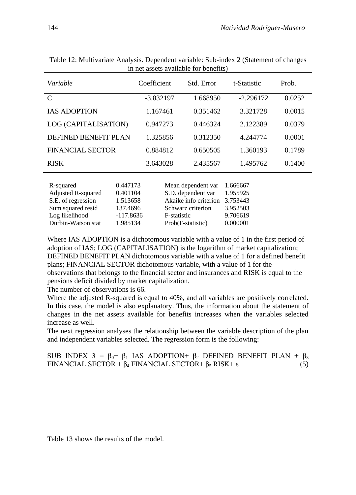| Variable                                                                                     |                                                             | Coefficient | Std. Error                                                                                            | t-Statistic                                              | Prob.  |  |  |
|----------------------------------------------------------------------------------------------|-------------------------------------------------------------|-------------|-------------------------------------------------------------------------------------------------------|----------------------------------------------------------|--------|--|--|
| $\mathbf C$                                                                                  |                                                             | $-3.832197$ | 1.668950                                                                                              | $-2.296172$                                              | 0.0252 |  |  |
| <b>IAS ADOPTION</b>                                                                          |                                                             | 1.167461    | 0.351462                                                                                              | 3.321728                                                 | 0.0015 |  |  |
| LOG (CAPITALISATION)                                                                         |                                                             | 0.947273    | 0.446324                                                                                              | 2.122389                                                 | 0.0379 |  |  |
| DEFINED BENEFIT PLAN                                                                         |                                                             | 1.325856    | 0.312350                                                                                              | 4.244774                                                 | 0.0001 |  |  |
| <b>FINANCIAL SECTOR</b>                                                                      |                                                             | 0.884812    | 0.650505                                                                                              | 1.360193                                                 | 0.1789 |  |  |
| <b>RISK</b>                                                                                  |                                                             | 3.643028    | 2.435567                                                                                              | 1.495762                                                 | 0.1400 |  |  |
| R-squared<br>Adjusted R-squared<br>S.E. of regression<br>Sum squared resid<br>Log likelihood | 0.447173<br>0.401104<br>1.513658<br>137.4696<br>$-117.8636$ |             | Mean dependent var<br>S.D. dependent var<br>Akaike info criterion<br>Schwarz criterion<br>F-statistic | 1.666667<br>1.955925<br>3.753443<br>3.952503<br>9.706619 |        |  |  |

Table 12: Multivariate Analysis. Dependent variable: Sub-index 2 (Statement of changes in net assets available for benefits)

Where IAS ADOPTION is a dichotomous variable with a value of 1 in the first period of adoption of IAS; LOG (CAPITALISATION) is the logarithm of market capitalization; DEFINED BENEFIT PLAN dichotomous variable with a value of 1 for a defined benefit plans; FINANCIAL SECTOR dichotomous variable, with a value of 1 for the observations that belongs to the financial sector and insurances and RISK is equal to the pensions deficit divided by market capitalization.

Durbin-Watson stat 1.985134 Prob(F-statistic) 0.000001

The number of observations is 66.

Where the adjusted R-squared is equal to 40%, and all variables are positively correlated. In this case, the model is also explanatory. Thus, the information about the statement of changes in the net assets available for benefits increases when the variables selected increase as well.

The next regression analyses the relationship between the variable description of the plan and independent variables selected. The regression form is the following:

SUB INDEX  $3 = \beta_0 + \beta_1$  IAS ADOPTION+  $\beta_2$  DEFINED BENEFIT PLAN +  $\beta_3$ FINANCIAL SECTOR +  $\beta_4$  FINANCIAL SECTOR +  $\beta_5$  RISK +  $\varepsilon$  (5)

Table 13 shows the results of the model.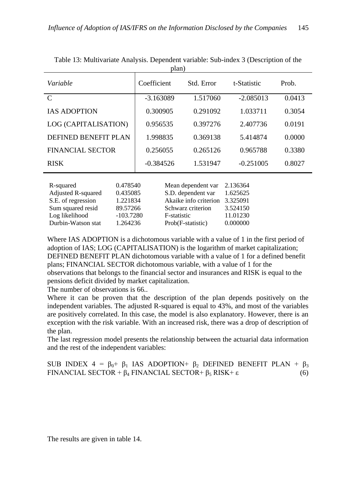| piail)                                                                                                             |                                                                         |             |                                                                                                                            |                                                                      |        |  |  |  |
|--------------------------------------------------------------------------------------------------------------------|-------------------------------------------------------------------------|-------------|----------------------------------------------------------------------------------------------------------------------------|----------------------------------------------------------------------|--------|--|--|--|
| Variable                                                                                                           |                                                                         | Coefficient | Std. Error                                                                                                                 | t-Statistic                                                          | Prob.  |  |  |  |
| C                                                                                                                  |                                                                         | $-3.163089$ | 1.517060                                                                                                                   | $-2.085013$                                                          | 0.0413 |  |  |  |
| <b>IAS ADOPTION</b>                                                                                                |                                                                         | 0.300905    | 0.291092                                                                                                                   | 1.033711                                                             | 0.3054 |  |  |  |
| LOG (CAPITALISATION)                                                                                               |                                                                         | 0.956535    | 0.397276                                                                                                                   | 2.407736                                                             | 0.0191 |  |  |  |
| DEFINED BENEFIT PLAN                                                                                               |                                                                         | 1.998835    | 0.369138                                                                                                                   | 5.414874                                                             | 0.0000 |  |  |  |
| <b>FINANCIAL SECTOR</b>                                                                                            |                                                                         | 0.256055    | 0.265126                                                                                                                   | 0.965788                                                             | 0.3380 |  |  |  |
| <b>RISK</b>                                                                                                        |                                                                         | $-0.384526$ | 1.531947                                                                                                                   | $-0.251005$                                                          | 0.8027 |  |  |  |
| R-squared<br>Adjusted R-squared<br>S.E. of regression<br>Sum squared resid<br>Log likelihood<br>Durbin-Watson stat | 0.478540<br>0.435085<br>1.221834<br>89.57266<br>$-103.7280$<br>1.264236 |             | Mean dependent var<br>S.D. dependent var<br>Akaike info criterion<br>Schwarz criterion<br>F-statistic<br>Prob(F-statistic) | 2.136364<br>1.625625<br>3.325091<br>3.524150<br>11.01230<br>0.000000 |        |  |  |  |

Table 13: Multivariate Analysis. Dependent variable: Sub-index 3 (Description of the plan)

Where IAS ADOPTION is a dichotomous variable with a value of 1 in the first period of adoption of IAS; LOG (CAPITALISATION) is the logarithm of market capitalization; DEFINED BENEFIT PLAN dichotomous variable with a value of 1 for a defined benefit plans; FINANCIAL SECTOR dichotomous variable, with a value of 1 for the observations that belongs to the financial sector and insurances and RISK is equal to the pensions deficit divided by market capitalization.

The number of observations is 66..

Where it can be proven that the description of the plan depends positively on the independent variables. The adjusted R-squared is equal to 43%, and most of the variables are positively correlated. In this case, the model is also explanatory. However, there is an exception with the risk variable. With an increased risk, there was a drop of description of the plan.

The last regression model presents the relationship between the actuarial data information and the rest of the independent variables:

SUB INDEX  $4 = \beta_0 + \beta_1$  IAS ADOPTION+  $\beta_2$  DEFINED BENEFIT PLAN +  $\beta_3$ FINANCIAL SECTOR +  $\beta_4$  FINANCIAL SECTOR +  $\beta_5$  RISK +  $\varepsilon$  (6)

The results are given in table 14.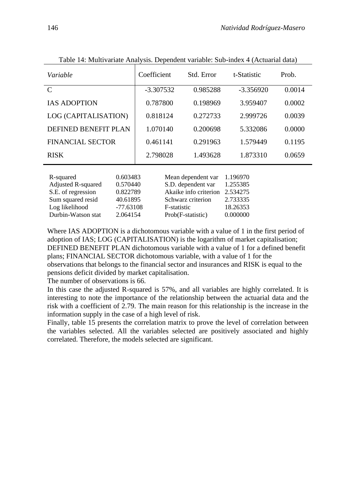| Variable                                                | Coefficient | Std. Error | t-Statistic | Prob.  |  |  |
|---------------------------------------------------------|-------------|------------|-------------|--------|--|--|
| C                                                       | $-3.307532$ | 0.985288   | $-3.356920$ | 0.0014 |  |  |
| <b>IAS ADOPTION</b>                                     | 0.787800    | 0.198969   | 3.959407    | 0.0002 |  |  |
| LOG (CAPITALISATION)                                    | 0.818124    | 0.272733   | 2.999726    | 0.0039 |  |  |
| DEFINED BENEFIT PLAN                                    | 1.070140    | 0.200698   | 5.332086    | 0.0000 |  |  |
| <b>FINANCIAL SECTOR</b>                                 | 0.461141    | 0.291963   | 1.579449    | 0.1195 |  |  |
| <b>RISK</b>                                             | 2.798028    | 1.493628   | 1.873310    | 0.0659 |  |  |
| 0.603483<br>Mean dependent var<br>1.196970<br>R-squared |             |            |             |        |  |  |

Table 14: Multivariate Analysis. Dependent variable: Sub-index 4 (Actuarial data)

| R-squared          | 0.603483    | Mean dependent var    | 1.196970 |
|--------------------|-------------|-----------------------|----------|
| Adjusted R-squared | 0.570440    | S.D. dependent var    | 1.255385 |
| S.E. of regression | 0.822789    | Akaike info criterion | 2.534275 |
| Sum squared resid  | 40.61895    | Schwarz criterion     | 2.733335 |
| Log likelihood     | $-77.63108$ | F-statistic           | 18.26353 |
| Durbin-Watson stat | 2.064154    | Prob(F-statistic)     | 0.000000 |

Where IAS ADOPTION is a dichotomous variable with a value of 1 in the first period of adoption of IAS; LOG (CAPITALISATION) is the logarithm of market capitalisation; DEFINED BENEFIT PLAN dichotomous variable with a value of 1 for a defined benefit plans; FINANCIAL SECTOR dichotomous variable, with a value of 1 for the

observations that belongs to the financial sector and insurances and RISK is equal to the pensions deficit divided by market capitalisation.

The number of observations is 66.

In this case the adjusted R-squared is 57%, and all variables are highly correlated. It is interesting to note the importance of the relationship between the actuarial data and the risk with a coefficient of 2.79. The main reason for this relationship is the increase in the information supply in the case of a high level of risk.

Finally, table 15 presents the correlation matrix to prove the level of correlation between the variables selected. All the variables selected are positively associated and highly correlated. Therefore, the models selected are significant.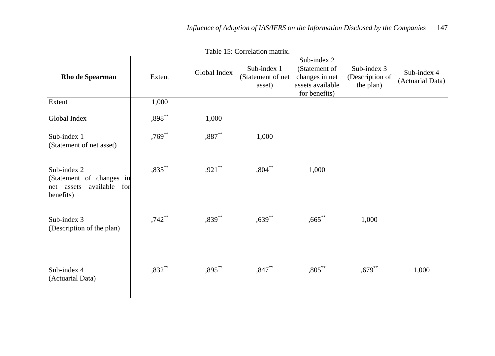| Table 15: Correlation matrix.                                                          |             |              |                                            |                                                                                     |                                             |                                 |  |
|----------------------------------------------------------------------------------------|-------------|--------------|--------------------------------------------|-------------------------------------------------------------------------------------|---------------------------------------------|---------------------------------|--|
| Rho de Spearman                                                                        | Extent      | Global Index | Sub-index 1<br>(Statement of net<br>asset) | Sub-index 2<br>(Statement of<br>changes in net<br>assets available<br>for benefits) | Sub-index 3<br>(Description of<br>the plan) | Sub-index 4<br>(Actuarial Data) |  |
| Extent                                                                                 | 1,000       |              |                                            |                                                                                     |                                             |                                 |  |
| Global Index                                                                           | $,898^{**}$ | 1,000        |                                            |                                                                                     |                                             |                                 |  |
| Sub-index 1<br>(Statement of net asset)                                                | $,769***$   | $,887^{**}$  | 1,000                                      |                                                                                     |                                             |                                 |  |
| Sub-index 2<br>(Statement of changes in<br>available<br>for<br>net assets<br>benefits) | $,835***$   | $,921$ **    | $,804***$                                  | 1,000                                                                               |                                             |                                 |  |
| Sub-index 3<br>(Description of the plan)                                               | $,742**$    | $,839***$    | $,639$ **                                  | $,665***$                                                                           | 1,000                                       |                                 |  |
| Sub-index 4<br>(Actuarial Data)                                                        | $,832***$   | $,895***$    | ,847**                                     | $,805***$                                                                           | $,679$ **                                   | 1,000                           |  |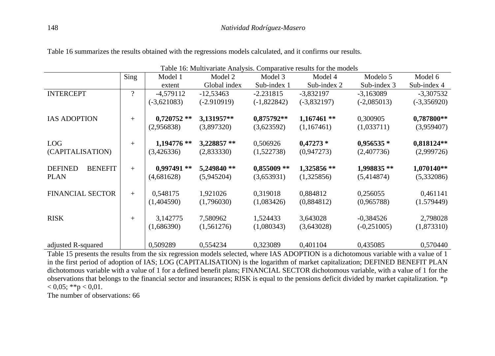#### 148 *Natividad Rodríguez-Masero*

Table 16 summarizes the results obtained with the regressions models calculated, and it confirms our results.

| Sing           | Model 1       | Model 2       | Model 3       | Model 4       | Modelo 5      | Model 6                                                                         |
|----------------|---------------|---------------|---------------|---------------|---------------|---------------------------------------------------------------------------------|
|                | extent        | Global index  | Sub-index 1   | Sub-index 2   | Sub-index 3   | Sub-index 4                                                                     |
| $\overline{?}$ | $-4,579112$   | $-12,53463$   | $-2.231815$   | $-3,832197$   | $-3,163089$   | $-3,307532$                                                                     |
|                | $(-3,621083)$ | $(-2.910919)$ | $(-1,822842)$ | $(-3,832197)$ | $(-2,085013)$ | $(-3,356920)$                                                                   |
| $+$            | $0,720752**$  | 3,131957**    | $0,875792**$  | $1,167461$ ** | 0,300905      | 0,787800**                                                                      |
|                | (2,956838)    | (3,897320)    | (3,623592)    | (1,167461)    | (1,033711)    | (3,959407)                                                                      |
| $+$            | 1,194776 **   | 3,228857 **   | 0,506926      | $0,47273*$    | $0,956535*$   | $0,818124**$                                                                    |
|                | (3,426336)    | (2,833330)    | (1,522738)    | (0,947273)    | (2,407736)    | (2,999726)                                                                      |
| $+$            | 0,997491**    | 5,249840 **   | $0,855009$ ** | 1,325856 **   | 1,998835**    | $1,070140**$                                                                    |
|                | (4,681628)    | (5,945204)    | (3,653931)    | (1,325856)    | (5,414874)    | (5,332086)                                                                      |
| $+$            | 0,548175      | 1,921026      | 0,319018      | 0,884812      | 0,256055      | 0,461141                                                                        |
|                | (1,404590)    | (1,796030)    | (1,083426)    | (0,884812)    | (0,965788)    | (1.579449)                                                                      |
| $+$            | 3,142775      | 7,580962      | 1,524433      | 3,643028      | $-0,384526$   | 2,798028                                                                        |
|                | (1,686390)    | (1,561276)    | (1,080343)    | (3,643028)    | $(-0,251005)$ | (1,873310)                                                                      |
|                |               |               |               |               |               | 0,570440                                                                        |
|                |               | 0,509289      | 0,554234      | 0,323089      | 0,401104      | Table 16: Multivariate Analysis. Comparative results for the models<br>0,435085 |

Table 15 presents the results from the six regression models selected, where IAS ADOPTION is a dichotomous variable with a value of 1 in the first period of adoption of IAS; LOG (CAPITALISATION) is the logarithm of market capitalization; DEFINED BENEFIT PLAN dichotomous variable with a value of 1 for a defined benefit plans; FINANCIAL SECTOR dichotomous variable, with a value of 1 for the observations that belongs to the financial sector and insurances; RISK is equal to the pensions deficit divided by market capitalization. \*p  $< 0.05$ ; \*\*p $< 0.01$ .

The number of observations: 66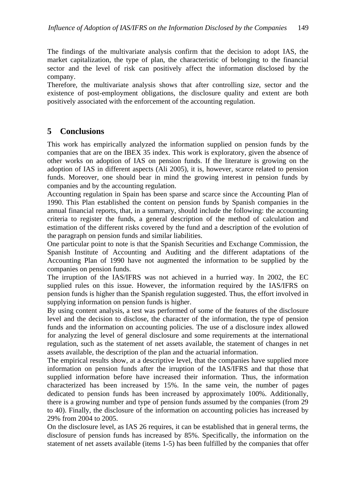The findings of the multivariate analysis confirm that the decision to adopt IAS, the market capitalization, the type of plan, the characteristic of belonging to the financial sector and the level of risk can positively affect the information disclosed by the company.

Therefore, the multivariate analysis shows that after controlling size, sector and the existence of post-employment obligations, the disclosure quality and extent are both positively associated with the enforcement of the accounting regulation.

## **5 Conclusions**

This work has empirically analyzed the information supplied on pension funds by the companies that are on the IBEX 35 index. This work is exploratory, given the absence of other works on adoption of IAS on pension funds. If the literature is growing on the adoption of IAS in different aspects (Ali 2005), it is, however, scarce related to pension funds. Moreover, one should bear in mind the growing interest in pension funds by companies and by the accounting regulation.

Accounting regulation in Spain has been sparse and scarce since the Accounting Plan of 1990. This Plan established the content on pension funds by Spanish companies in the annual financial reports, that, in a summary, should include the following: the accounting criteria to register the funds, a general description of the method of calculation and estimation of the different risks covered by the fund and a description of the evolution of the paragraph on pension funds and similar liabilities.

One particular point to note is that the Spanish Securities and Exchange Commission, the Spanish Institute of Accounting and Auditing and the different adaptations of the Accounting Plan of 1990 have not augmented the information to be supplied by the companies on pension funds.

The irruption of the IAS/IFRS was not achieved in a hurried way. In 2002, the EC supplied rules on this issue. However, the information required by the IAS/IFRS on pension funds is higher than the Spanish regulation suggested. Thus, the effort involved in supplying information on pension funds is higher.

By using content analysis, a test was performed of some of the features of the disclosure level and the decision to disclose, the character of the information, the type of pension funds and the information on accounting policies. The use of a disclosure index allowed for analyzing the level of general disclosure and some requirements at the international regulation, such as the statement of net assets available, the statement of changes in net assets available, the description of the plan and the actuarial information.

The empirical results show, at a descriptive level, that the companies have supplied more information on pension funds after the irruption of the IAS/IFRS and that those that supplied information before have increased their information. Thus, the information characterized has been increased by 15%. In the same vein, the number of pages dedicated to pension funds has been increased by approximately 100%. Additionally, there is a growing number and type of pension funds assumed by the companies (from 29 to 40). Finally, the disclosure of the information on accounting policies has increased by 29% from 2004 to 2005.

On the disclosure level, as IAS 26 requires, it can be established that in general terms, the disclosure of pension funds has increased by 85%. Specifically, the information on the statement of net assets available (items 1-5) has been fulfilled by the companies that offer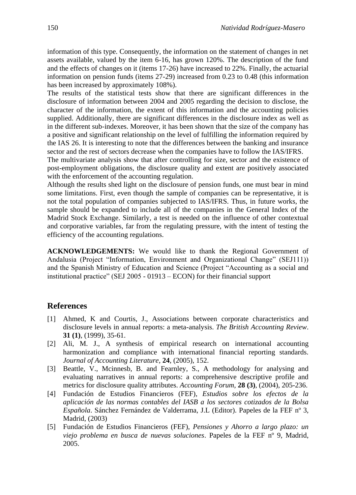information of this type. Consequently, the information on the statement of changes in net assets available, valued by the item 6-16, has grown 120%. The description of the fund and the effects of changes on it (items 17-26) have increased to 22%. Finally, the actuarial information on pension funds (items 27-29) increased from 0.23 to 0.48 (this information has been increased by approximately 108%).

The results of the statistical tests show that there are significant differences in the disclosure of information between 2004 and 2005 regarding the decision to disclose, the character of the information, the extent of this information and the accounting policies supplied. Additionally, there are significant differences in the disclosure index as well as in the different sub-indexes. Moreover, it has been shown that the size of the company has a positive and significant relationship on the level of fulfilling the information required by the IAS 26. It is interesting to note that the differences between the banking and insurance sector and the rest of sectors decrease when the companies have to follow the IAS/IFRS.

The multivariate analysis show that after controlling for size, sector and the existence of post-employment obligations, the disclosure quality and extent are positively associated with the enforcement of the accounting regulation.

Although the results shed light on the disclosure of pension funds, one must bear in mind some limitations. First, even though the sample of companies can be representative, it is not the total population of companies subjected to IAS/IFRS. Thus, in future works, the sample should be expanded to include all of the companies in the General Index of the Madrid Stock Exchange. Similarly, a test is needed on the influence of other contextual and corporative variables, far from the regulating pressure, with the intent of testing the efficiency of the accounting regulations.

**ACKNOWLEDGEMENTS:** We would like to thank the Regional Government of Andalusia (Project "Information, Environment and Organizational Change" (SEJ111)) and the Spanish Ministry of Education and Science (Project "Accounting as a social and institutional practice" (SEJ 2005 - 01913 – ECON) for their financial support

#### **References**

- [1] Ahmed, K and Courtis, J., Associations between corporate characteristics and disclosure levels in annual reports: a meta-analysis. *The British Accounting Review*. **31 (1)**, (1999), 35-61.
- [2] Ali, M. J., A synthesis of empirical research on international accounting harmonization and compliance with international financial reporting standards. *Journal of Accounting Literature*, **24**, (2005), 152.
- [3] Beattle, V., Mcinnesb, B. and Fearnley, S., A methodology for analysing and evaluating narratives in annual reports: a comprehensive descriptive profile and metrics for disclosure quality attributes. *Accounting Forum,* **28 (3)**, (2004), 205-236.
- [4] Fundación de Estudios Financieros (FEF), *Estudios sobre los efectos de la aplicación de las normas contables del IASB a los sectores cotizados de la Bolsa Española*. Sánchez Fernández de Valderrama, J.L (Editor). Papeles de la FEF nº 3, Madrid, (2003)
- [5] Fundación de Estudios Financieros (FEF), *[Pensiones y Ahorro a largo plazo: un](http://www.fef.es/z_contenido/papeles_9.pdf)  [viejo problema en busca de nuevas soluciones](http://www.fef.es/z_contenido/papeles_9.pdf)*. Papeles de la FEF nº 9, Madrid, 2005.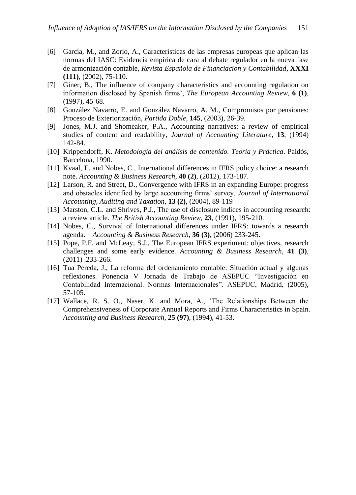- [6] García, M., and Zorio, A., Características de las empresas europeas que aplican las normas del IASC: Evidencia empírica de cara al debate regulador en la nueva fase de armonización contable, *Revista Española de Financiación y Contabilidad*, **XXXI (111)**, (2002), 75-110.
- [7] Giner, B., The influence of company characteristics and accounting regulation on information disclosed by Spanish firms', *The European Accounting Review*, **6 (1)**, (1997), 45-68.
- [8] González Navarro, E. and González Navarro, A. M., Compromisos por pensiones: Proceso de Exteriorización, *Partida Doble*, **145**, (2003), 26-39.
- [9] Jones, M.J. and Shomeaker, P.A., Accounting narratives: a review of empirical studies of content and readability, *Journal of Accounting Literature*, **13**, (1994) 142-84.
- [10] Krippendorff, K. *Metodología del análisis de contenido. Teoría y Práctica*. Paidós, Barcelona, 1990.
- [11] Kvaal, E. and Nobes, C., International differences in IFRS policy choice: a research note. *Accounting & Business Research*, **40 (2)**, (2012), 173-187.
- [12] Larson, R. and Street, D., Convergence with IFRS in an expanding Europe: progress and obstacles identified by large accounting firms' survey. *Journal of International Accounting, Auditing and Taxation,* **[13 \(2\)](http://www.sciencedirect.com/science?_ob=PublicationURL&_tockey=%23TOC%236564%232004%23999869997%23529490%23FLA%23&_cdi=6564&_pubType=J&_auth=y&_acct=C000033738&_version=1&_urlVersion=0&_userid=634743&md5=1675eaae10ee95446bc93eed30ac3748)**, (2004), 89-119
- [13] Marston, C.L. and Shrives, P.J., The use of disclosure indices in accounting research: a review article. *The British Accounting Review*, **23**, (1991), 195-210.
- [14] Nobes, C., Survival of International differences under IFRS: towards a research agenda. *Accounting & Business Research*, **36 (3)**, (2006) 233-245.
- [15] Pope, P.F. and McLeay, S.J., The European IFRS experiment: objectives, research challenges and some early evidence. *Accounting & Business Research*, **41 (3)**, (2011) .233-266.
- [16] Tua Pereda, J., La reforma del ordenamiento contable: Situación actual y algunas reflexiones. Ponencia V Jornada de Trabajo de ASEPUC "Investigación en Contabilidad Internacional. Normas Internacionales‖. ASEPUC, Madrid, (2005), 57-105.
- [17] Wallace, R. S. O., Naser, K. and Mora, A., ‗The Relationships Between the Comprehensiveness of Corporate Annual Reports and Firms Characteristics in Spain. *Accounting and Business Research*, **25 (97)**, (1994), 41-53.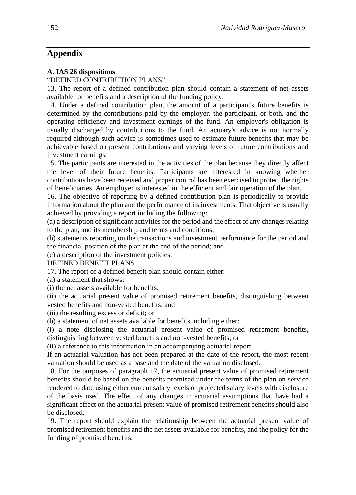## **Appendix**

### **A. IAS 26 dispositions**

"DEFINED CONTRIBUTION PLANS"

13. The report of a defined contribution plan should contain a statement of net assets available for benefits and a description of the funding policy.

14. Under a defined contribution plan, the amount of a participant's future benefits is determined by the contributions paid by the employer, the participant, or both, and the operating efficiency and investment earnings of the fund. An employer's obligation is usually discharged by contributions to the fund. An actuary's advice is not normally required although such advice is sometimes used to estimate future benefits that may be achievable based on present contributions and varying levels of future contributions and investment earnings.

15. The participants are interested in the activities of the plan because they directly affect the level of their future benefits. Participants are interested in knowing whether contributions have been received and proper control has been exercised to protect the rights of beneficiaries. An employer is interested in the efficient and fair operation of the plan.

16. The objective of reporting by a defined contribution plan is periodically to provide information about the plan and the performance of its investments. That objective is usually achieved by providing a report including the following:

(a) a description of significant activities for the period and the effect of any changes relating to the plan, and its membership and terms and conditions;

(b) statements reporting on the transactions and investment performance for the period and the financial position of the plan at the end of the period; and

(c) a description of the investment policies.

#### DEFINED BENEFIT PLANS

17. The report of a defined benefit plan should contain either:

(a) a statement that shows:

(i) the net assets available for benefits;

(ii) the actuarial present value of promised retirement benefits, distinguishing between vested benefits and non-vested benefits; and

(iii) the resulting excess or deficit; or

(b) a statement of net assets available for benefits including either:

(i) a note disclosing the actuarial present value of promised retirement benefits, distinguishing between vested benefits and non-vested benefits; or

(ii) a reference to this information in an accompanying actuarial report.

If an actuarial valuation has not been prepared at the date of the report, the most recent valuation should be used as a base and the date of the valuation disclosed.

18. For the purposes of paragraph 17, the actuarial present value of promised retirement benefits should be based on the benefits promised under the terms of the plan on service rendered to date using either current salary levels or projected salary levels with disclosure of the basis used. The effect of any changes in actuarial assumptions that have had a significant effect on the actuarial present value of promised retirement benefits should also be disclosed.

19. The report should explain the relationship between the actuarial present value of promised retirement benefits and the net assets available for benefits, and the policy for the funding of promised benefits.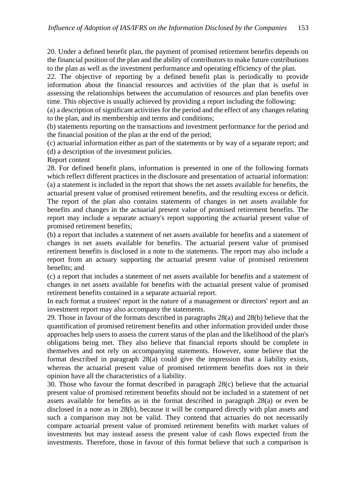20. Under a defined benefit plan, the payment of promised retirement benefits depends on the financial position of the plan and the ability of contributors to make future contributions to the plan as well as the investment performance and operating efficiency of the plan.

22. The objective of reporting by a defined benefit plan is periodically to provide information about the financial resources and activities of the plan that is useful in assessing the relationships between the accumulation of resources and plan benefits over time. This objective is usually achieved by providing a report including the following:

(a) a description of significant activities for the period and the effect of any changes relating to the plan, and its membership and terms and conditions;

(b) statements reporting on the transactions and investment performance for the period and the financial position of the plan at the end of the period;

(c) actuarial information either as part of the statements or by way of a separate report; and (d) a description of the investment policies.

Report content

28. For defined benefit plans, information is presented in one of the following formats which reflect different practices in the disclosure and presentation of actuarial information: (a) a statement is included in the report that shows the net assets available for benefits, the actuarial present value of promised retirement benefits, and the resulting excess or deficit. The report of the plan also contains statements of changes in net assets available for benefits and changes in the actuarial present value of promised retirement benefits. The report may include a separate actuary's report supporting the actuarial present value of promised retirement benefits;

(b) a report that includes a statement of net assets available for benefits and a statement of changes in net assets available for benefits. The actuarial present value of promised retirement benefits is disclosed in a note to the statements. The report may also include a report from an actuary supporting the actuarial present value of promised retirement benefits; and

(c) a report that includes a statement of net assets available for benefits and a statement of changes in net assets available for benefits with the actuarial present value of promised retirement benefits contained in a separate actuarial report.

In each format a trustees' report in the nature of a management or directors' report and an investment report may also accompany the statements.

29. Those in favour of the formats described in paragraphs 28(a) and 28(b) believe that the quantification of promised retirement benefits and other information provided under those approaches help users to assess the current status of the plan and the likelihood of the plan's obligations being met. They also believe that financial reports should be complete in themselves and not rely on accompanying statements. However, some believe that the format described in paragraph 28(a) could give the impression that a liability exists, whereas the actuarial present value of promised retirement benefits does not in their opinion have all the characteristics of a liability.

30. Those who favour the format described in paragraph 28(c) believe that the actuarial present value of promised retirement benefits should not be included in a statement of net assets available for benefits as in the format described in paragraph 28(a) or even be disclosed in a note as in 28(b), because it will be compared directly with plan assets and such a comparison may not be valid. They contend that actuaries do not necessarily compare actuarial present value of promised retirement benefits with market values of investments but may instead assess the present value of cash flows expected from the investments. Therefore, those in favour of this format believe that such a comparison is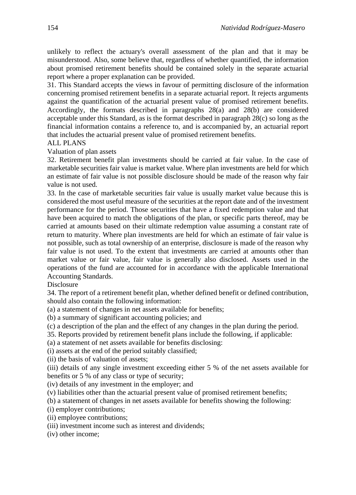unlikely to reflect the actuary's overall assessment of the plan and that it may be misunderstood. Also, some believe that, regardless of whether quantified, the information about promised retirement benefits should be contained solely in the separate actuarial report where a proper explanation can be provided.

31. This Standard accepts the views in favour of permitting disclosure of the information concerning promised retirement benefits in a separate actuarial report. It rejects arguments against the quantification of the actuarial present value of promised retirement benefits. Accordingly, the formats described in paragraphs 28(a) and 28(b) are considered acceptable under this Standard, as is the format described in paragraph 28(c) so long as the financial information contains a reference to, and is accompanied by, an actuarial report that includes the actuarial present value of promised retirement benefits.

#### ALL PLANS

Valuation of plan assets

32. Retirement benefit plan investments should be carried at fair value. In the case of marketable securities fair value is market value. Where plan investments are held for which an estimate of fair value is not possible disclosure should be made of the reason why fair value is not used.

33. In the case of marketable securities fair value is usually market value because this is considered the most useful measure of the securities at the report date and of the investment performance for the period. Those securities that have a fixed redemption value and that have been acquired to match the obligations of the plan, or specific parts thereof, may be carried at amounts based on their ultimate redemption value assuming a constant rate of return to maturity. Where plan investments are held for which an estimate of fair value is not possible, such as total ownership of an enterprise, disclosure is made of the reason why fair value is not used. To the extent that investments are carried at amounts other than market value or fair value, fair value is generally also disclosed. Assets used in the operations of the fund are accounted for in accordance with the applicable International Accounting Standards.

#### Disclosure

34. The report of a retirement benefit plan, whether defined benefit or defined contribution, should also contain the following information:

(a) a statement of changes in net assets available for benefits;

(b) a summary of significant accounting policies; and

(c) a description of the plan and the effect of any changes in the plan during the period.

35. Reports provided by retirement benefit plans include the following, if applicable:

(a) a statement of net assets available for benefits disclosing:

(i) assets at the end of the period suitably classified;

(ii) the basis of valuation of assets;

(iii) details of any single investment exceeding either 5 % of the net assets available for benefits or 5 % of any class or type of security;

(iv) details of any investment in the employer; and

(v) liabilities other than the actuarial present value of promised retirement benefits;

(b) a statement of changes in net assets available for benefits showing the following:

(i) employer contributions;

- (ii) employee contributions;
- (iii) investment income such as interest and dividends;

(iv) other income;